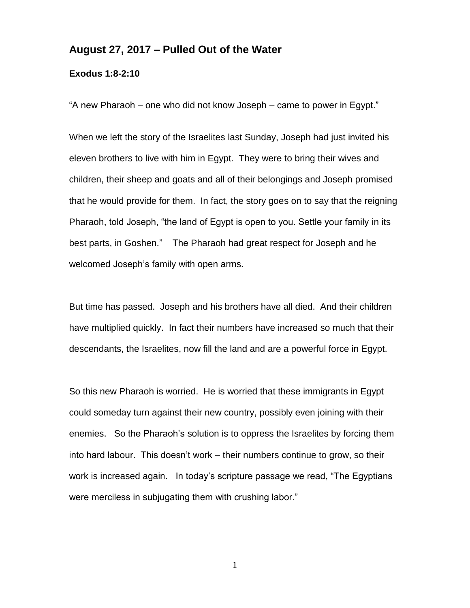## **August 27, 2017 – Pulled Out of the Water**

## **Exodus 1:8-2:10**

"A new Pharaoh – one who did not know Joseph – came to power in Egypt."

When we left the story of the Israelites last Sunday, Joseph had just invited his eleven brothers to live with him in Egypt. They were to bring their wives and children, their sheep and goats and all of their belongings and Joseph promised that he would provide for them. In fact, the story goes on to say that the reigning Pharaoh, told Joseph, "the land of Egypt is open to you. Settle your family in its best parts, in Goshen." The Pharaoh had great respect for Joseph and he welcomed Joseph's family with open arms.

But time has passed. Joseph and his brothers have all died. And their children have multiplied quickly. In fact their numbers have increased so much that their descendants, the Israelites, now fill the land and are a powerful force in Egypt.

So this new Pharaoh is worried. He is worried that these immigrants in Egypt could someday turn against their new country, possibly even joining with their enemies. So the Pharaoh's solution is to oppress the Israelites by forcing them into hard labour. This doesn't work – their numbers continue to grow, so their work is increased again. In today's scripture passage we read, "The Egyptians were merciless in subjugating them with crushing labor."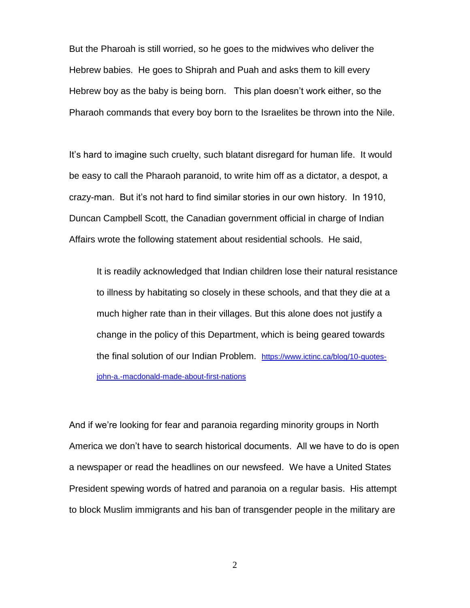But the Pharoah is still worried, so he goes to the midwives who deliver the Hebrew babies. He goes to Shiprah and Puah and asks them to kill every Hebrew boy as the baby is being born. This plan doesn't work either, so the Pharaoh commands that every boy born to the Israelites be thrown into the Nile.

It's hard to imagine such cruelty, such blatant disregard for human life. It would be easy to call the Pharaoh paranoid, to write him off as a dictator, a despot, a crazy-man. But it's not hard to find similar stories in our own history. In 1910, Duncan Campbell Scott, the Canadian government official in charge of Indian Affairs wrote the following statement about residential schools. He said,

It is readily acknowledged that Indian children lose their natural resistance to illness by habitating so closely in these schools, and that they die at a much higher rate than in their villages. But this alone does not justify a change in the policy of this Department, which is being geared towards the final solution of our Indian Problem. [https://www.ictinc.ca/blog/10-quotes](https://www.ictinc.ca/blog/10-quotes-john-a.-macdonald-made-about-first-nations)[john-a.-macdonald-made-about-first-nations](https://www.ictinc.ca/blog/10-quotes-john-a.-macdonald-made-about-first-nations)

And if we're looking for fear and paranoia regarding minority groups in North America we don't have to search historical documents. All we have to do is open a newspaper or read the headlines on our newsfeed. We have a United States President spewing words of hatred and paranoia on a regular basis. His attempt to block Muslim immigrants and his ban of transgender people in the military are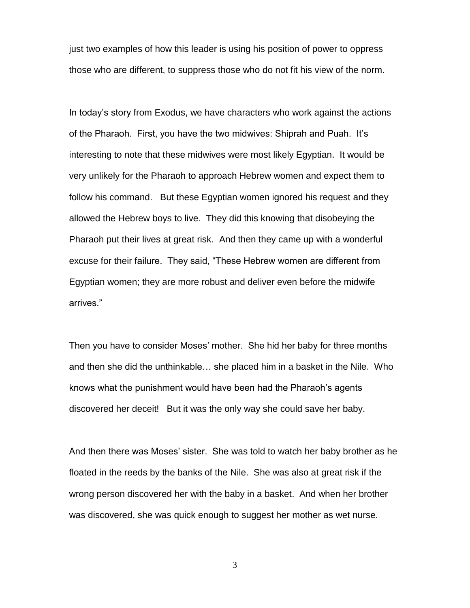just two examples of how this leader is using his position of power to oppress those who are different, to suppress those who do not fit his view of the norm.

In today's story from Exodus, we have characters who work against the actions of the Pharaoh. First, you have the two midwives: Shiprah and Puah. It's interesting to note that these midwives were most likely Egyptian. It would be very unlikely for the Pharaoh to approach Hebrew women and expect them to follow his command. But these Egyptian women ignored his request and they allowed the Hebrew boys to live. They did this knowing that disobeying the Pharaoh put their lives at great risk. And then they came up with a wonderful excuse for their failure. They said, "These Hebrew women are different from Egyptian women; they are more robust and deliver even before the midwife arrives."

Then you have to consider Moses' mother. She hid her baby for three months and then she did the unthinkable… she placed him in a basket in the Nile. Who knows what the punishment would have been had the Pharaoh's agents discovered her deceit! But it was the only way she could save her baby.

And then there was Moses' sister. She was told to watch her baby brother as he floated in the reeds by the banks of the Nile. She was also at great risk if the wrong person discovered her with the baby in a basket. And when her brother was discovered, she was quick enough to suggest her mother as wet nurse.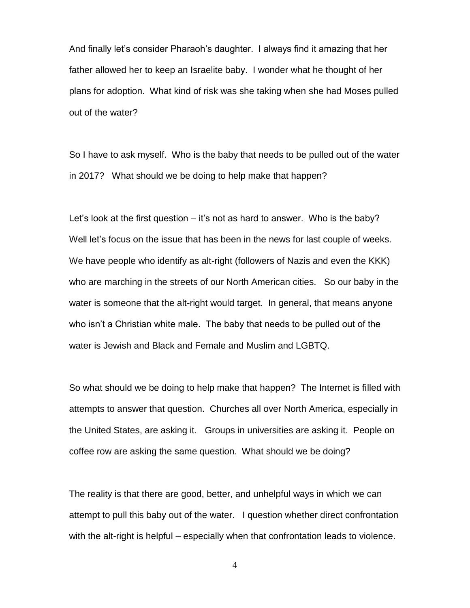And finally let's consider Pharaoh's daughter. I always find it amazing that her father allowed her to keep an Israelite baby. I wonder what he thought of her plans for adoption. What kind of risk was she taking when she had Moses pulled out of the water?

So I have to ask myself. Who is the baby that needs to be pulled out of the water in 2017? What should we be doing to help make that happen?

Let's look at the first question – it's not as hard to answer. Who is the baby? Well let's focus on the issue that has been in the news for last couple of weeks. We have people who identify as alt-right (followers of Nazis and even the KKK) who are marching in the streets of our North American cities. So our baby in the water is someone that the alt-right would target. In general, that means anyone who isn't a Christian white male. The baby that needs to be pulled out of the water is Jewish and Black and Female and Muslim and LGBTQ.

So what should we be doing to help make that happen? The Internet is filled with attempts to answer that question. Churches all over North America, especially in the United States, are asking it. Groups in universities are asking it. People on coffee row are asking the same question. What should we be doing?

The reality is that there are good, better, and unhelpful ways in which we can attempt to pull this baby out of the water. I question whether direct confrontation with the alt-right is helpful – especially when that confrontation leads to violence.